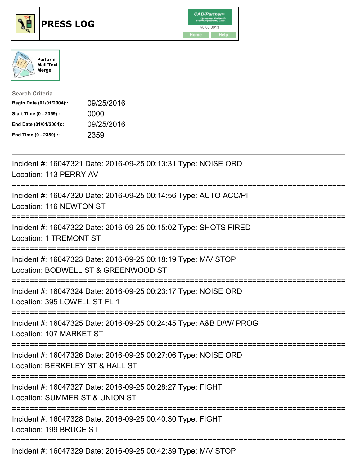





| <b>Search Criteria</b>    |            |
|---------------------------|------------|
| Begin Date (01/01/2004):: | 09/25/2016 |
| Start Time (0 - 2359) ::  | 0000       |
| End Date (01/01/2004)::   | 09/25/2016 |
| End Time (0 - 2359) ::    | 2359       |

| Incident #: 16047321 Date: 2016-09-25 00:13:31 Type: NOISE ORD<br>Location: 113 PERRY AV                                        |
|---------------------------------------------------------------------------------------------------------------------------------|
| Incident #: 16047320 Date: 2016-09-25 00:14:56 Type: AUTO ACC/PI<br>Location: 116 NEWTON ST                                     |
| Incident #: 16047322 Date: 2016-09-25 00:15:02 Type: SHOTS FIRED<br>Location: 1 TREMONT ST                                      |
| Incident #: 16047323 Date: 2016-09-25 00:18:19 Type: M/V STOP<br>Location: BODWELL ST & GREENWOOD ST                            |
| Incident #: 16047324 Date: 2016-09-25 00:23:17 Type: NOISE ORD<br>Location: 395 LOWELL ST FL 1                                  |
| Incident #: 16047325 Date: 2016-09-25 00:24:45 Type: A&B D/W/ PROG<br>Location: 107 MARKET ST                                   |
| Incident #: 16047326 Date: 2016-09-25 00:27:06 Type: NOISE ORD<br>Location: BERKELEY ST & HALL ST<br>========================== |
| Incident #: 16047327 Date: 2016-09-25 00:28:27 Type: FIGHT<br>Location: SUMMER ST & UNION ST                                    |
| ===========================<br>Incident #: 16047328 Date: 2016-09-25 00:40:30 Type: FIGHT<br>Location: 199 BRUCE ST             |
| Incident #: 16047329 Date: 2016-09-25 00:42:39 Type: M/V STOP                                                                   |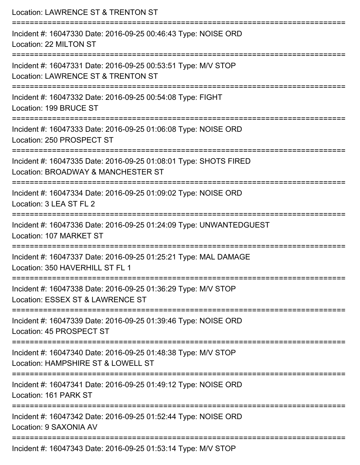| Location: LAWRENCE ST & TRENTON ST                                                                                               |
|----------------------------------------------------------------------------------------------------------------------------------|
| Incident #: 16047330 Date: 2016-09-25 00:46:43 Type: NOISE ORD<br>Location: 22 MILTON ST<br>:=================================== |
| Incident #: 16047331 Date: 2016-09-25 00:53:51 Type: M/V STOP<br>Location: LAWRENCE ST & TRENTON ST                              |
| Incident #: 16047332 Date: 2016-09-25 00:54:08 Type: FIGHT<br>Location: 199 BRUCE ST                                             |
| Incident #: 16047333 Date: 2016-09-25 01:06:08 Type: NOISE ORD<br>Location: 250 PROSPECT ST                                      |
| Incident #: 16047335 Date: 2016-09-25 01:08:01 Type: SHOTS FIRED<br>Location: BROADWAY & MANCHESTER ST<br>-------------------    |
| Incident #: 16047334 Date: 2016-09-25 01:09:02 Type: NOISE ORD<br>Location: 3 LEA ST FL 2                                        |
| Incident #: 16047336 Date: 2016-09-25 01:24:09 Type: UNWANTEDGUEST<br>Location: 107 MARKET ST                                    |
| Incident #: 16047337 Date: 2016-09-25 01:25:21 Type: MAL DAMAGE<br>Location: 350 HAVERHILL ST FL 1                               |
| Incident #: 16047338 Date: 2016-09-25 01:36:29 Type: M/V STOP<br>Location: ESSEX ST & LAWRENCE ST                                |
| Incident #: 16047339 Date: 2016-09-25 01:39:46 Type: NOISE ORD<br>Location: 45 PROSPECT ST                                       |
| Incident #: 16047340 Date: 2016-09-25 01:48:38 Type: M/V STOP<br>Location: HAMPSHIRE ST & LOWELL ST                              |
| Incident #: 16047341 Date: 2016-09-25 01:49:12 Type: NOISE ORD<br>Location: 161 PARK ST                                          |
| Incident #: 16047342 Date: 2016-09-25 01:52:44 Type: NOISE ORD<br>Location: 9 SAXONIA AV                                         |
| Incident #: 16047343 Date: 2016-09-25 01:53:14 Type: M/V STOP                                                                    |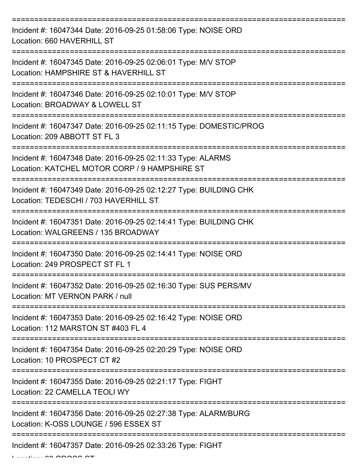| Incident #: 16047344 Date: 2016-09-25 01:58:06 Type: NOISE ORD<br>Location: 660 HAVERHILL ST                 |
|--------------------------------------------------------------------------------------------------------------|
| Incident #: 16047345 Date: 2016-09-25 02:06:01 Type: M/V STOP<br>Location: HAMPSHIRE ST & HAVERHILL ST       |
| Incident #: 16047346 Date: 2016-09-25 02:10:01 Type: M/V STOP<br>Location: BROADWAY & LOWELL ST              |
| Incident #: 16047347 Date: 2016-09-25 02:11:15 Type: DOMESTIC/PROG<br>Location: 209 ABBOTT ST FL 3           |
| Incident #: 16047348 Date: 2016-09-25 02:11:33 Type: ALARMS<br>Location: KATCHEL MOTOR CORP / 9 HAMPSHIRE ST |
| Incident #: 16047349 Date: 2016-09-25 02:12:27 Type: BUILDING CHK<br>Location: TEDESCHI / 703 HAVERHILL ST   |
| Incident #: 16047351 Date: 2016-09-25 02:14:41 Type: BUILDING CHK<br>Location: WALGREENS / 135 BROADWAY      |
| Incident #: 16047350 Date: 2016-09-25 02:14:41 Type: NOISE ORD<br>Location: 249 PROSPECT ST FL 1             |
| Incident #: 16047352 Date: 2016-09-25 02:16:30 Type: SUS PERS/MV<br>Location: MT VERNON PARK / null          |
| Incident #: 16047353 Date: 2016-09-25 02:16:42 Type: NOISE ORD<br>Location: 112 MARSTON ST #403 FL 4         |
| Incident #: 16047354 Date: 2016-09-25 02:20:29 Type: NOISE ORD<br>Location: 10 PROSPECT CT #2                |
| Incident #: 16047355 Date: 2016-09-25 02:21:17 Type: FIGHT<br>Location: 22 CAMELLA TEOLI WY                  |
| Incident #: 16047356 Date: 2016-09-25 02:27:38 Type: ALARM/BURG<br>Location: K-OSS LOUNGE / 596 ESSEX ST     |
| Incident #: 16047357 Date: 2016-09-25 02:33:26 Type: FIGHT                                                   |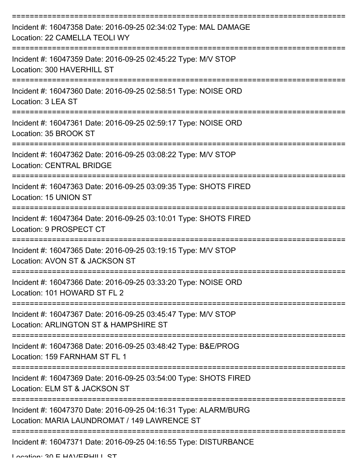| Incident #: 16047358 Date: 2016-09-25 02:34:02 Type: MAL DAMAGE<br>Location: 22 CAMELLA TEOLI WY                |
|-----------------------------------------------------------------------------------------------------------------|
| Incident #: 16047359 Date: 2016-09-25 02:45:22 Type: M/V STOP<br>Location: 300 HAVERHILL ST                     |
| Incident #: 16047360 Date: 2016-09-25 02:58:51 Type: NOISE ORD<br>Location: 3 LEA ST                            |
| Incident #: 16047361 Date: 2016-09-25 02:59:17 Type: NOISE ORD<br>Location: 35 BROOK ST                         |
| Incident #: 16047362 Date: 2016-09-25 03:08:22 Type: M/V STOP<br><b>Location: CENTRAL BRIDGE</b>                |
| Incident #: 16047363 Date: 2016-09-25 03:09:35 Type: SHOTS FIRED<br>Location: 15 UNION ST                       |
| Incident #: 16047364 Date: 2016-09-25 03:10:01 Type: SHOTS FIRED<br>Location: 9 PROSPECT CT                     |
| Incident #: 16047365 Date: 2016-09-25 03:19:15 Type: M/V STOP<br>Location: AVON ST & JACKSON ST                 |
| Incident #: 16047366 Date: 2016-09-25 03:33:20 Type: NOISE ORD<br>Location: 101 HOWARD ST FL 2                  |
| Incident #: 16047367 Date: 2016-09-25 03:45:47 Type: M/V STOP<br>Location: ARLINGTON ST & HAMPSHIRE ST          |
| Incident #: 16047368 Date: 2016-09-25 03:48:42 Type: B&E/PROG<br>Location: 159 FARNHAM ST FL 1                  |
| Incident #: 16047369 Date: 2016-09-25 03:54:00 Type: SHOTS FIRED<br>Location: ELM ST & JACKSON ST               |
| Incident #: 16047370 Date: 2016-09-25 04:16:31 Type: ALARM/BURG<br>Location: MARIA LAUNDROMAT / 149 LAWRENCE ST |
| Incident #: 16047371 Date: 2016-09-25 04:16:55 Type: DISTURBANCE                                                |

Location: 30 E HAVEDHILL CT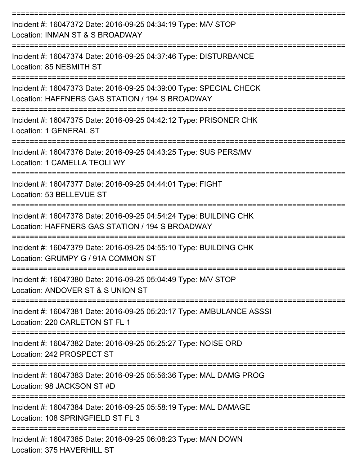| Incident #: 16047372 Date: 2016-09-25 04:34:19 Type: M/V STOP<br>Location: INMAN ST & S BROADWAY                                         |
|------------------------------------------------------------------------------------------------------------------------------------------|
| Incident #: 16047374 Date: 2016-09-25 04:37:46 Type: DISTURBANCE<br>Location: 85 NESMITH ST                                              |
| Incident #: 16047373 Date: 2016-09-25 04:39:00 Type: SPECIAL CHECK<br>Location: HAFFNERS GAS STATION / 194 S BROADWAY                    |
| Incident #: 16047375 Date: 2016-09-25 04:42:12 Type: PRISONER CHK<br>Location: 1 GENERAL ST                                              |
| Incident #: 16047376 Date: 2016-09-25 04:43:25 Type: SUS PERS/MV<br>Location: 1 CAMELLA TEOLI WY                                         |
| Incident #: 16047377 Date: 2016-09-25 04:44:01 Type: FIGHT<br>Location: 53 BELLEVUE ST                                                   |
| ----------------<br>Incident #: 16047378 Date: 2016-09-25 04:54:24 Type: BUILDING CHK<br>Location: HAFFNERS GAS STATION / 194 S BROADWAY |
| Incident #: 16047379 Date: 2016-09-25 04:55:10 Type: BUILDING CHK<br>Location: GRUMPY G / 91A COMMON ST                                  |
| Incident #: 16047380 Date: 2016-09-25 05:04:49 Type: M/V STOP<br>Location: ANDOVER ST & S UNION ST                                       |
| Incident #: 16047381 Date: 2016-09-25 05:20:17 Type: AMBULANCE ASSSI<br>Location: 220 CARLETON ST FL 1                                   |
| Incident #: 16047382 Date: 2016-09-25 05:25:27 Type: NOISE ORD<br>Location: 242 PROSPECT ST                                              |
| Incident #: 16047383 Date: 2016-09-25 05:56:36 Type: MAL DAMG PROG<br>Location: 98 JACKSON ST #D                                         |
| Incident #: 16047384 Date: 2016-09-25 05:58:19 Type: MAL DAMAGE<br>Location: 108 SPRINGFIELD ST FL 3                                     |
| Incident #: 16047385 Date: 2016-09-25 06:08:23 Type: MAN DOWN                                                                            |

Location: 375 HAVERHILL ST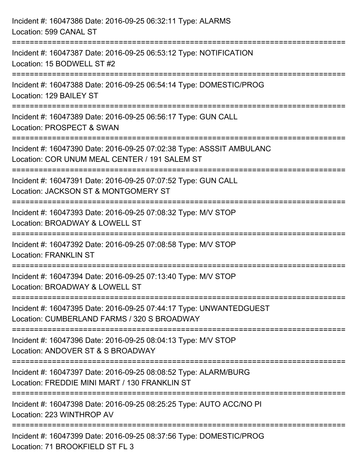| Incident #: 16047386 Date: 2016-09-25 06:32:11 Type: ALARMS<br>Location: 599 CANAL ST                                                                           |
|-----------------------------------------------------------------------------------------------------------------------------------------------------------------|
| ==================================<br>----------------------<br>Incident #: 16047387 Date: 2016-09-25 06:53:12 Type: NOTIFICATION<br>Location: 15 BODWELL ST #2 |
| Incident #: 16047388 Date: 2016-09-25 06:54:14 Type: DOMESTIC/PROG<br>Location: 129 BAILEY ST                                                                   |
| Incident #: 16047389 Date: 2016-09-25 06:56:17 Type: GUN CALL<br>Location: PROSPECT & SWAN                                                                      |
| Incident #: 16047390 Date: 2016-09-25 07:02:38 Type: ASSSIT AMBULANC<br>Location: COR UNUM MEAL CENTER / 191 SALEM ST                                           |
| Incident #: 16047391 Date: 2016-09-25 07:07:52 Type: GUN CALL<br>Location: JACKSON ST & MONTGOMERY ST                                                           |
| .====================<br>Incident #: 16047393 Date: 2016-09-25 07:08:32 Type: M/V STOP<br>Location: BROADWAY & LOWELL ST                                        |
| Incident #: 16047392 Date: 2016-09-25 07:08:58 Type: M/V STOP<br><b>Location: FRANKLIN ST</b>                                                                   |
| Incident #: 16047394 Date: 2016-09-25 07:13:40 Type: M/V STOP<br>Location: BROADWAY & LOWELL ST                                                                 |
| Incident #: 16047395 Date: 2016-09-25 07:44:17 Type: UNWANTEDGUEST<br>Location: CUMBERLAND FARMS / 320 S BROADWAY                                               |
| Incident #: 16047396 Date: 2016-09-25 08:04:13 Type: M/V STOP<br>Location: ANDOVER ST & S BROADWAY                                                              |
| Incident #: 16047397 Date: 2016-09-25 08:08:52 Type: ALARM/BURG<br>Location: FREDDIE MINI MART / 130 FRANKLIN ST                                                |
| Incident #: 16047398 Date: 2016-09-25 08:25:25 Type: AUTO ACC/NO PI<br>Location: 223 WINTHROP AV                                                                |
| Incident #: 16047399 Date: 2016-09-25 08:37:56 Type: DOMESTIC/PROG<br>Location: 71 BROOKFIELD ST FL 3                                                           |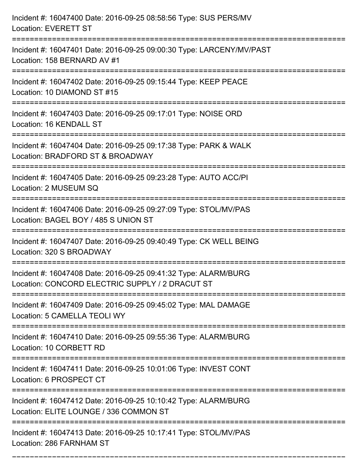| Incident #: 16047400 Date: 2016-09-25 08:58:56 Type: SUS PERS/MV<br><b>Location: EVERETT ST</b>                               |
|-------------------------------------------------------------------------------------------------------------------------------|
| Incident #: 16047401 Date: 2016-09-25 09:00:30 Type: LARCENY/MV/PAST<br>Location: 158 BERNARD AV #1<br>:===================== |
| Incident #: 16047402 Date: 2016-09-25 09:15:44 Type: KEEP PEACE<br>Location: 10 DIAMOND ST #15                                |
| Incident #: 16047403 Date: 2016-09-25 09:17:01 Type: NOISE ORD<br>Location: 16 KENDALL ST                                     |
| Incident #: 16047404 Date: 2016-09-25 09:17:38 Type: PARK & WALK<br>Location: BRADFORD ST & BROADWAY                          |
| Incident #: 16047405 Date: 2016-09-25 09:23:28 Type: AUTO ACC/PI<br>Location: 2 MUSEUM SQ                                     |
| Incident #: 16047406 Date: 2016-09-25 09:27:09 Type: STOL/MV/PAS<br>Location: BAGEL BOY / 485 S UNION ST                      |
| Incident #: 16047407 Date: 2016-09-25 09:40:49 Type: CK WELL BEING<br>Location: 320 S BROADWAY                                |
| Incident #: 16047408 Date: 2016-09-25 09:41:32 Type: ALARM/BURG<br>Location: CONCORD ELECTRIC SUPPLY / 2 DRACUT ST            |
| Incident #: 16047409 Date: 2016-09-25 09:45:02 Type: MAL DAMAGE<br>Location: 5 CAMELLA TEOLI WY                               |
| Incident #: 16047410 Date: 2016-09-25 09:55:36 Type: ALARM/BURG<br>Location: 10 CORBETT RD                                    |
| Incident #: 16047411 Date: 2016-09-25 10:01:06 Type: INVEST CONT<br>Location: 6 PROSPECT CT                                   |
| Incident #: 16047412 Date: 2016-09-25 10:10:42 Type: ALARM/BURG<br>Location: ELITE LOUNGE / 336 COMMON ST                     |
| Incident #: 16047413 Date: 2016-09-25 10:17:41 Type: STOL/MV/PAS<br>Location: 286 FARNHAM ST                                  |

===========================================================================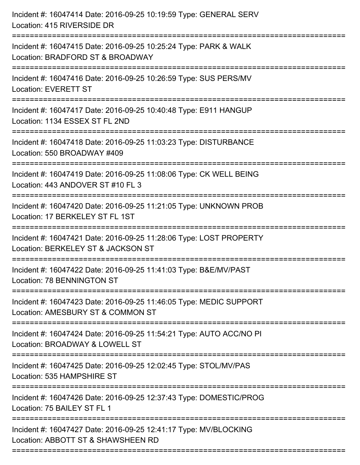| Incident #: 16047414 Date: 2016-09-25 10:19:59 Type: GENERAL SERV<br>Location: 415 RIVERSIDE DR                        |
|------------------------------------------------------------------------------------------------------------------------|
| Incident #: 16047415 Date: 2016-09-25 10:25:24 Type: PARK & WALK<br>Location: BRADFORD ST & BROADWAY                   |
| Incident #: 16047416 Date: 2016-09-25 10:26:59 Type: SUS PERS/MV<br><b>Location: EVERETT ST</b>                        |
| Incident #: 16047417 Date: 2016-09-25 10:40:48 Type: E911 HANGUP<br>Location: 1134 ESSEX ST FL 2ND                     |
| Incident #: 16047418 Date: 2016-09-25 11:03:23 Type: DISTURBANCE<br>Location: 550 BROADWAY #409                        |
| Incident #: 16047419 Date: 2016-09-25 11:08:06 Type: CK WELL BEING<br>Location: 443 ANDOVER ST #10 FL 3                |
| Incident #: 16047420 Date: 2016-09-25 11:21:05 Type: UNKNOWN PROB<br>Location: 17 BERKELEY ST FL 1ST<br>============== |
| Incident #: 16047421 Date: 2016-09-25 11:28:06 Type: LOST PROPERTY<br>Location: BERKELEY ST & JACKSON ST               |
| Incident #: 16047422 Date: 2016-09-25 11:41:03 Type: B&E/MV/PAST<br>Location: 78 BENNINGTON ST                         |
| Incident #: 16047423 Date: 2016-09-25 11:46:05 Type: MEDIC SUPPORT<br>Location: AMESBURY ST & COMMON ST                |
| Incident #: 16047424 Date: 2016-09-25 11:54:21 Type: AUTO ACC/NO PI<br>Location: BROADWAY & LOWELL ST                  |
| Incident #: 16047425 Date: 2016-09-25 12:02:45 Type: STOL/MV/PAS<br>Location: 535 HAMPSHIRE ST                         |
| Incident #: 16047426 Date: 2016-09-25 12:37:43 Type: DOMESTIC/PROG<br>Location: 75 BAILEY ST FL 1                      |
| Incident #: 16047427 Date: 2016-09-25 12:41:17 Type: MV/BLOCKING<br>Location: ABBOTT ST & SHAWSHEEN RD                 |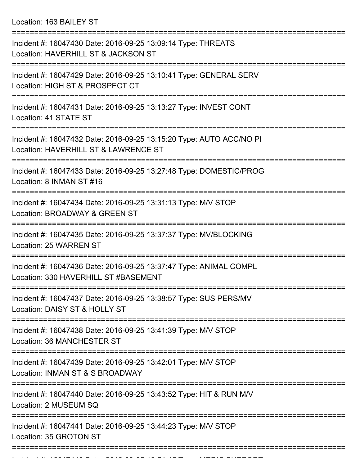Location: 163 BAILEY ST

| Incident #: 16047430 Date: 2016-09-25 13:09:14 Type: THREATS<br>Location: HAVERHILL ST & JACKSON ST                               |
|-----------------------------------------------------------------------------------------------------------------------------------|
| Incident #: 16047429 Date: 2016-09-25 13:10:41 Type: GENERAL SERV<br>Location: HIGH ST & PROSPECT CT                              |
| Incident #: 16047431 Date: 2016-09-25 13:13:27 Type: INVEST CONT<br>Location: 41 STATE ST                                         |
| Incident #: 16047432 Date: 2016-09-25 13:15:20 Type: AUTO ACC/NO PI<br>Location: HAVERHILL ST & LAWRENCE ST                       |
| Incident #: 16047433 Date: 2016-09-25 13:27:48 Type: DOMESTIC/PROG<br>Location: 8 INMAN ST #16                                    |
| ===============================<br>Incident #: 16047434 Date: 2016-09-25 13:31:13 Type: M/V STOP<br>Location: BROADWAY & GREEN ST |
| Incident #: 16047435 Date: 2016-09-25 13:37:37 Type: MV/BLOCKING<br><b>Location: 25 WARREN ST</b>                                 |
| Incident #: 16047436 Date: 2016-09-25 13:37:47 Type: ANIMAL COMPL<br>Location: 330 HAVERHILL ST #BASEMENT                         |
| Incident #: 16047437 Date: 2016-09-25 13:38:57 Type: SUS PERS/MV<br>Location: DAISY ST & HOLLY ST                                 |
| Incident #: 16047438 Date: 2016-09-25 13:41:39 Type: M/V STOP<br>Location: 36 MANCHESTER ST                                       |
| Incident #: 16047439 Date: 2016-09-25 13:42:01 Type: M/V STOP<br>Location: INMAN ST & S BROADWAY                                  |
| Incident #: 16047440 Date: 2016-09-25 13:43:52 Type: HIT & RUN M/V<br>Location: 2 MUSEUM SQ                                       |
| Incident #: 16047441 Date: 2016-09-25 13:44:23 Type: M/V STOP<br>Location: 35 GROTON ST                                           |
|                                                                                                                                   |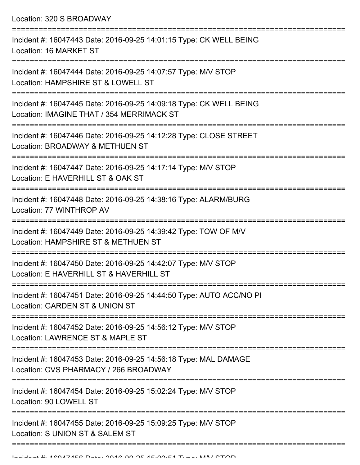Location: 320 S BROADWAY

| Incident #: 16047443 Date: 2016-09-25 14:01:15 Type: CK WELL BEING<br>Location: 16 MARKET ST                    |
|-----------------------------------------------------------------------------------------------------------------|
| Incident #: 16047444 Date: 2016-09-25 14:07:57 Type: M/V STOP<br>Location: HAMPSHIRE ST & LOWELL ST             |
| Incident #: 16047445 Date: 2016-09-25 14:09:18 Type: CK WELL BEING<br>Location: IMAGINE THAT / 354 MERRIMACK ST |
| Incident #: 16047446 Date: 2016-09-25 14:12:28 Type: CLOSE STREET<br>Location: BROADWAY & METHUEN ST            |
| Incident #: 16047447 Date: 2016-09-25 14:17:14 Type: M/V STOP<br>Location: E HAVERHILL ST & OAK ST              |
| Incident #: 16047448 Date: 2016-09-25 14:38:16 Type: ALARM/BURG<br>Location: 77 WINTHROP AV                     |
| Incident #: 16047449 Date: 2016-09-25 14:39:42 Type: TOW OF M/V<br>Location: HAMPSHIRE ST & METHUEN ST          |
| Incident #: 16047450 Date: 2016-09-25 14:42:07 Type: M/V STOP<br>Location: E HAVERHILL ST & HAVERHILL ST        |
| Incident #: 16047451 Date: 2016-09-25 14:44:50 Type: AUTO ACC/NO PI<br>Location: GARDEN ST & UNION ST           |
| Incident #: 16047452 Date: 2016-09-25 14:56:12 Type: M/V STOP<br>Location: LAWRENCE ST & MAPLE ST               |
| Incident #: 16047453 Date: 2016-09-25 14:56:18 Type: MAL DAMAGE<br>Location: CVS PHARMACY / 266 BROADWAY        |
| Incident #: 16047454 Date: 2016-09-25 15:02:24 Type: M/V STOP<br>Location: 90 LOWELL ST                         |
| Incident #: 16047455 Date: 2016-09-25 15:09:25 Type: M/V STOP<br>Location: S UNION ST & SALEM ST                |
|                                                                                                                 |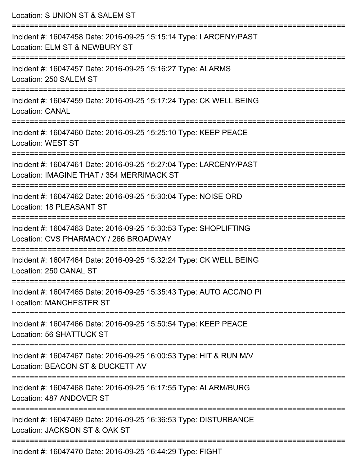| Location: S UNION ST & SALEM ST                                                                                               |
|-------------------------------------------------------------------------------------------------------------------------------|
| Incident #: 16047458 Date: 2016-09-25 15:15:14 Type: LARCENY/PAST<br>Location: ELM ST & NEWBURY ST<br>:====================== |
| Incident #: 16047457 Date: 2016-09-25 15:16:27 Type: ALARMS<br>Location: 250 SALEM ST                                         |
| Incident #: 16047459 Date: 2016-09-25 15:17:24 Type: CK WELL BEING<br><b>Location: CANAL</b>                                  |
| Incident #: 16047460 Date: 2016-09-25 15:25:10 Type: KEEP PEACE<br>Location: WEST ST                                          |
| Incident #: 16047461 Date: 2016-09-25 15:27:04 Type: LARCENY/PAST<br>Location: IMAGINE THAT / 354 MERRIMACK ST                |
| ========================<br>Incident #: 16047462 Date: 2016-09-25 15:30:04 Type: NOISE ORD<br>Location: 18 PLEASANT ST        |
| Incident #: 16047463 Date: 2016-09-25 15:30:53 Type: SHOPLIFTING<br>Location: CVS PHARMACY / 266 BROADWAY                     |
| Incident #: 16047464 Date: 2016-09-25 15:32:24 Type: CK WELL BEING<br>Location: 250 CANAL ST                                  |
| Incident #: 16047465 Date: 2016-09-25 15:35:43 Type: AUTO ACC/NO PI<br><b>Location: MANCHESTER ST</b>                         |
| Incident #: 16047466 Date: 2016-09-25 15:50:54 Type: KEEP PEACE<br>Location: 56 SHATTUCK ST                                   |
| Incident #: 16047467 Date: 2016-09-25 16:00:53 Type: HIT & RUN M/V<br>Location: BEACON ST & DUCKETT AV                        |
| Incident #: 16047468 Date: 2016-09-25 16:17:55 Type: ALARM/BURG<br>Location: 487 ANDOVER ST                                   |
| Incident #: 16047469 Date: 2016-09-25 16:36:53 Type: DISTURBANCE<br>Location: JACKSON ST & OAK ST                             |
| $Inoidont + 16017170$ Dete: 2016 00 25 $16:11:20$ Type: $FICUT$                                                               |

Incident #: 16047470 Date: 2016-09-25 16:44:29 Type: FIGHT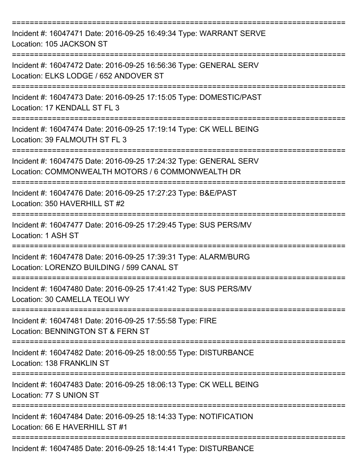| Incident #: 16047471 Date: 2016-09-25 16:49:34 Type: WARRANT SERVE<br>Location: 105 JACKSON ST                         |
|------------------------------------------------------------------------------------------------------------------------|
| Incident #: 16047472 Date: 2016-09-25 16:56:36 Type: GENERAL SERV<br>Location: ELKS LODGE / 652 ANDOVER ST             |
| Incident #: 16047473 Date: 2016-09-25 17:15:05 Type: DOMESTIC/PAST<br>Location: 17 KENDALL ST FL 3                     |
| Incident #: 16047474 Date: 2016-09-25 17:19:14 Type: CK WELL BEING<br>Location: 39 FALMOUTH ST FL 3<br>--------------  |
| Incident #: 16047475 Date: 2016-09-25 17:24:32 Type: GENERAL SERV<br>Location: COMMONWEALTH MOTORS / 6 COMMONWEALTH DR |
| Incident #: 16047476 Date: 2016-09-25 17:27:23 Type: B&E/PAST<br>Location: 350 HAVERHILL ST #2                         |
| Incident #: 16047477 Date: 2016-09-25 17:29:45 Type: SUS PERS/MV<br>Location: 1 ASH ST                                 |
| Incident #: 16047478 Date: 2016-09-25 17:39:31 Type: ALARM/BURG<br>Location: LORENZO BUILDING / 599 CANAL ST           |
| Incident #: 16047480 Date: 2016-09-25 17:41:42 Type: SUS PERS/MV<br>Location: 30 CAMELLA TEOLI WY                      |
| Incident #: 16047481 Date: 2016-09-25 17:55:58 Type: FIRE<br>Location: BENNINGTON ST & FERN ST                         |
| Incident #: 16047482 Date: 2016-09-25 18:00:55 Type: DISTURBANCE<br>Location: 138 FRANKLIN ST                          |
| Incident #: 16047483 Date: 2016-09-25 18:06:13 Type: CK WELL BEING<br>Location: 77 S UNION ST                          |
| Incident #: 16047484 Date: 2016-09-25 18:14:33 Type: NOTIFICATION<br>Location: 66 E HAVERHILL ST #1                    |
| Incident #: 16047485 Date: 2016-09-25 18:14:41 Type: DISTURBANCE                                                       |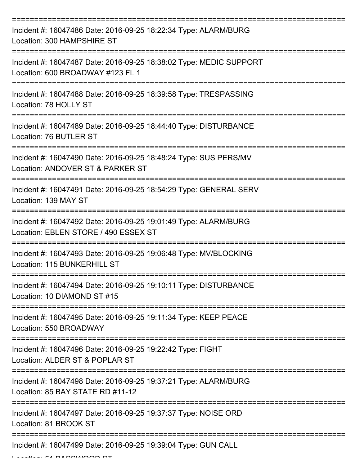| Incident #: 16047486 Date: 2016-09-25 18:22:34 Type: ALARM/BURG<br>Location: 300 HAMPSHIRE ST           |
|---------------------------------------------------------------------------------------------------------|
| Incident #: 16047487 Date: 2016-09-25 18:38:02 Type: MEDIC SUPPORT<br>Location: 600 BROADWAY #123 FL 1  |
| Incident #: 16047488 Date: 2016-09-25 18:39:58 Type: TRESPASSING<br>Location: 78 HOLLY ST               |
| Incident #: 16047489 Date: 2016-09-25 18:44:40 Type: DISTURBANCE<br>Location: 76 BUTLER ST              |
| Incident #: 16047490 Date: 2016-09-25 18:48:24 Type: SUS PERS/MV<br>Location: ANDOVER ST & PARKER ST    |
| Incident #: 16047491 Date: 2016-09-25 18:54:29 Type: GENERAL SERV<br>Location: 139 MAY ST               |
| Incident #: 16047492 Date: 2016-09-25 19:01:49 Type: ALARM/BURG<br>Location: EBLEN STORE / 490 ESSEX ST |
| Incident #: 16047493 Date: 2016-09-25 19:06:48 Type: MV/BLOCKING<br>Location: 115 BUNKERHILL ST         |
| Incident #: 16047494 Date: 2016-09-25 19:10:11 Type: DISTURBANCE<br>Location: 10 DIAMOND ST #15         |
| Incident #: 16047495 Date: 2016-09-25 19:11:34 Type: KEEP PEACE<br>Location: 550 BROADWAY               |
| Incident #: 16047496 Date: 2016-09-25 19:22:42 Type: FIGHT<br>Location: ALDER ST & POPLAR ST            |
| Incident #: 16047498 Date: 2016-09-25 19:37:21 Type: ALARM/BURG<br>Location: 85 BAY STATE RD #11-12     |
| Incident #: 16047497 Date: 2016-09-25 19:37:37 Type: NOISE ORD<br>Location: 81 BROOK ST                 |
| Incident #: 16047499 Date: 2016-09-25 19:39:04 Type: GUN CALL                                           |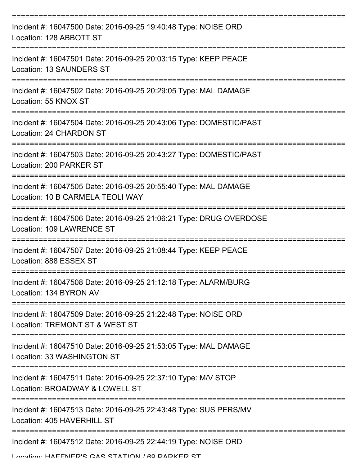| Incident #: 16047500 Date: 2016-09-25 19:40:48 Type: NOISE ORD<br>Location: 128 ABBOTT ST           |
|-----------------------------------------------------------------------------------------------------|
| Incident #: 16047501 Date: 2016-09-25 20:03:15 Type: KEEP PEACE<br>Location: 13 SAUNDERS ST         |
| Incident #: 16047502 Date: 2016-09-25 20:29:05 Type: MAL DAMAGE<br>Location: 55 KNOX ST             |
| Incident #: 16047504 Date: 2016-09-25 20:43:06 Type: DOMESTIC/PAST<br>Location: 24 CHARDON ST       |
| Incident #: 16047503 Date: 2016-09-25 20:43:27 Type: DOMESTIC/PAST<br>Location: 200 PARKER ST       |
| Incident #: 16047505 Date: 2016-09-25 20:55:40 Type: MAL DAMAGE<br>Location: 10 B CARMELA TEOLI WAY |
| Incident #: 16047506 Date: 2016-09-25 21:06:21 Type: DRUG OVERDOSE<br>Location: 109 LAWRENCE ST     |
| Incident #: 16047507 Date: 2016-09-25 21:08:44 Type: KEEP PEACE<br>Location: 888 ESSEX ST           |
| Incident #: 16047508 Date: 2016-09-25 21:12:18 Type: ALARM/BURG<br>Location: 134 BYRON AV           |
| Incident #: 16047509 Date: 2016-09-25 21:22:48 Type: NOISE ORD<br>Location: TREMONT ST & WEST ST    |
| Incident #: 16047510 Date: 2016-09-25 21:53:05 Type: MAL DAMAGE<br>Location: 33 WASHINGTON ST       |
| Incident #: 16047511 Date: 2016-09-25 22:37:10 Type: M/V STOP<br>Location: BROADWAY & LOWELL ST     |
| Incident #: 16047513 Date: 2016-09-25 22:43:48 Type: SUS PERS/MV<br>Location: 405 HAVERHILL ST      |
| Incident #: 16047512 Date: 2016-09-25 22:44:19 Type: NOISE ORD                                      |

Location: HAFFNED'S CAS STATION / 60 DADKED ST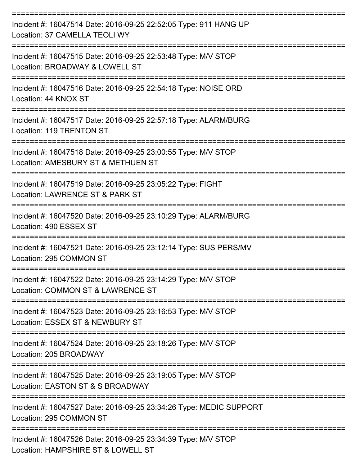| Incident #: 16047514 Date: 2016-09-25 22:52:05 Type: 911 HANG UP<br>Location: 37 CAMELLA TEOLI WY                                |
|----------------------------------------------------------------------------------------------------------------------------------|
| Incident #: 16047515 Date: 2016-09-25 22:53:48 Type: M/V STOP<br>Location: BROADWAY & LOWELL ST                                  |
| Incident #: 16047516 Date: 2016-09-25 22:54:18 Type: NOISE ORD<br>Location: 44 KNOX ST                                           |
| Incident #: 16047517 Date: 2016-09-25 22:57:18 Type: ALARM/BURG<br>Location: 119 TRENTON ST                                      |
| Incident #: 16047518 Date: 2016-09-25 23:00:55 Type: M/V STOP<br>Location: AMESBURY ST & METHUEN ST                              |
| Incident #: 16047519 Date: 2016-09-25 23:05:22 Type: FIGHT<br>Location: LAWRENCE ST & PARK ST                                    |
| Incident #: 16047520 Date: 2016-09-25 23:10:29 Type: ALARM/BURG<br>Location: 490 ESSEX ST                                        |
| Incident #: 16047521 Date: 2016-09-25 23:12:14 Type: SUS PERS/MV<br>Location: 295 COMMON ST                                      |
| :=========================<br>Incident #: 16047522 Date: 2016-09-25 23:14:29 Type: M/V STOP<br>Location: COMMON ST & LAWRENCE ST |
| Incident #: 16047523 Date: 2016-09-25 23:16:53 Type: M/V STOP<br>Location: ESSEX ST & NEWBURY ST                                 |
| Incident #: 16047524 Date: 2016-09-25 23:18:26 Type: M/V STOP<br>Location: 205 BROADWAY                                          |
| Incident #: 16047525 Date: 2016-09-25 23:19:05 Type: M/V STOP<br>Location: EASTON ST & S BROADWAY                                |
| Incident #: 16047527 Date: 2016-09-25 23:34:26 Type: MEDIC SUPPORT<br>Location: 295 COMMON ST                                    |
| Incident #: 16047526 Date: 2016-09-25 23:34:39 Type: M/V STOP<br>Location: HAMPSHIRE ST & LOWELL ST                              |